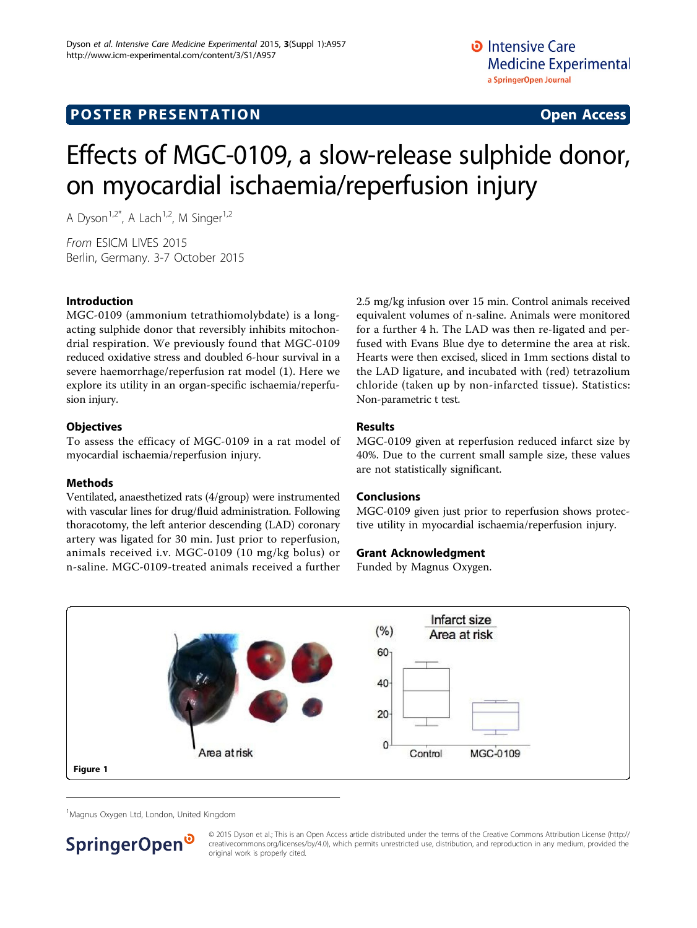# Effects of MGC-0109, a slow-release sulphide donor, on myocardial ischaemia/reperfusion injury

A Dyson<sup>1,2\*</sup>, A Lach<sup>1,2</sup>, M Singer<sup>1,2</sup>

From ESICM LIVES 2015 Berlin, Germany. 3-7 October 2015

## Introduction

MGC-0109 (ammonium tetrathiomolybdate) is a longacting sulphide donor that reversibly inhibits mitochondrial respiration. We previously found that MGC-0109 reduced oxidative stress and doubled 6-hour survival in a severe haemorrhage/reperfusion rat model (1). Here we explore its utility in an organ-specific ischaemia/reperfusion injury.

#### **Objectives**

To assess the efficacy of MGC-0109 in a rat model of myocardial ischaemia/reperfusion injury.

## Methods

Ventilated, anaesthetized rats (4/group) were instrumented with vascular lines for drug/fluid administration. Following thoracotomy, the left anterior descending (LAD) coronary artery was ligated for 30 min. Just prior to reperfusion, animals received i.v. MGC-0109 (10 mg/kg bolus) or n-saline. MGC-0109-treated animals received a further 2.5 mg/kg infusion over 15 min. Control animals received equivalent volumes of n-saline. Animals were monitored for a further 4 h. The LAD was then re-ligated and perfused with Evans Blue dye to determine the area at risk. Hearts were then excised, sliced in 1mm sections distal to the LAD ligature, and incubated with (red) tetrazolium chloride (taken up by non-infarcted tissue). Statistics: Non-parametric t test.

## Results

MGC-0109 given at reperfusion reduced infarct size by 40%. Due to the current small sample size, these values are not statistically significant.

## Conclusions

MGC-0109 given just prior to reperfusion shows protective utility in myocardial ischaemia/reperfusion injury.

## Grant Acknowledgment

Funded by Magnus Oxygen.



<sup>1</sup>Magnus Oxygen Ltd, London, United Kingdom



© 2015 Dyson et al.; This is an Open Access article distributed under the terms of the Creative Commons Attribution License [\(http://](http://creativecommons.org/licenses/by/4.0) [creativecommons.org/licenses/by/4.0](http://creativecommons.org/licenses/by/4.0)), which permits unrestricted use, distribution, and reproduction in any medium, provided the original work is properly cited.